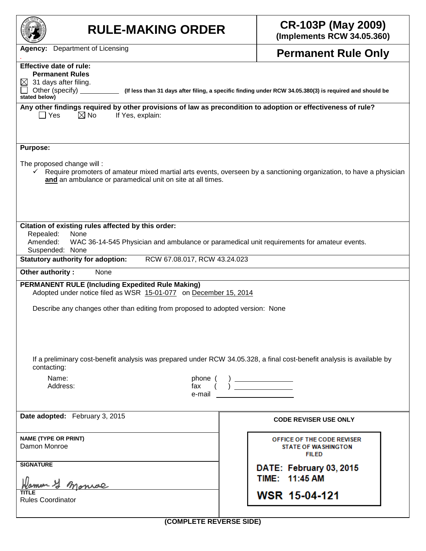| <b>RULE-MAKING ORDER</b>                                                                                                                                                                                                                                                                                                                                                                             | <b>CR-103P (May 2009)</b><br>(Implements RCW 34.05.360)                                                             |  |  |  |  |  |  |
|------------------------------------------------------------------------------------------------------------------------------------------------------------------------------------------------------------------------------------------------------------------------------------------------------------------------------------------------------------------------------------------------------|---------------------------------------------------------------------------------------------------------------------|--|--|--|--|--|--|
| <b>Agency:</b> Department of Licensing                                                                                                                                                                                                                                                                                                                                                               | <b>Permanent Rule Only</b>                                                                                          |  |  |  |  |  |  |
| <b>Effective date of rule:</b><br><b>Permanent Rules</b><br>31 days after filing.<br>Other (specify)<br>(If less than 31 days after filing, a specific finding under RCW 34.05.380(3) is required and should be<br>stated below)<br>Any other findings required by other provisions of law as precondition to adoption or effectiveness of rule?<br>$\Box$ Yes<br>$\boxtimes$ No<br>If Yes, explain: |                                                                                                                     |  |  |  |  |  |  |
| <b>Purpose:</b><br>The proposed change will:<br>and an ambulance or paramedical unit on site at all times.                                                                                                                                                                                                                                                                                           | Require promoters of amateur mixed martial arts events, overseen by a sanctioning organization, to have a physician |  |  |  |  |  |  |
| Citation of existing rules affected by this order:<br>Repealed:<br>None<br>Amended:<br>WAC 36-14-545 Physician and ambulance or paramedical unit requirements for amateur events.<br>Suspended: None                                                                                                                                                                                                 |                                                                                                                     |  |  |  |  |  |  |
| <b>Statutory authority for adoption:</b><br>RCW 67.08.017, RCW 43.24.023                                                                                                                                                                                                                                                                                                                             |                                                                                                                     |  |  |  |  |  |  |
| Other authority:<br>None<br><b>PERMANENT RULE (Including Expedited Rule Making)</b><br>Adopted under notice filed as WSR 15-01-077 on December 15, 2014                                                                                                                                                                                                                                              |                                                                                                                     |  |  |  |  |  |  |
| Describe any changes other than editing from proposed to adopted version: None                                                                                                                                                                                                                                                                                                                       |                                                                                                                     |  |  |  |  |  |  |
| If a preliminary cost-benefit analysis was prepared under RCW 34.05.328, a final cost-benefit analysis is available by<br>contacting:                                                                                                                                                                                                                                                                |                                                                                                                     |  |  |  |  |  |  |
| Name:<br>phone (<br>Address:<br>fax<br>e-mail                                                                                                                                                                                                                                                                                                                                                        |                                                                                                                     |  |  |  |  |  |  |
| Date adopted: February 3, 2015                                                                                                                                                                                                                                                                                                                                                                       | <b>CODE REVISER USE ONLY</b>                                                                                        |  |  |  |  |  |  |
| <b>NAME (TYPE OR PRINT)</b><br>Damon Monroe                                                                                                                                                                                                                                                                                                                                                          | OFFICE OF THE CODE REVISER<br><b>STATE OF WASHINGTON</b><br><b>FILED</b>                                            |  |  |  |  |  |  |
| <b>SIGNATURE</b>                                                                                                                                                                                                                                                                                                                                                                                     | DATE: February 03, 2015<br>TIME: 11:45 AM                                                                           |  |  |  |  |  |  |
| monral<br><b>Rules Coordinator</b>                                                                                                                                                                                                                                                                                                                                                                   | WSR 15-04-121                                                                                                       |  |  |  |  |  |  |
| (COMPLETE REVERSE SIDE)                                                                                                                                                                                                                                                                                                                                                                              |                                                                                                                     |  |  |  |  |  |  |